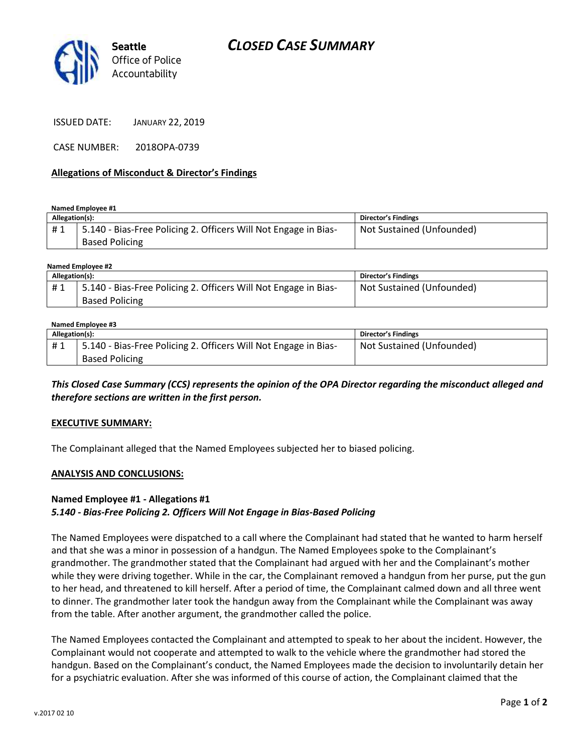

ISSUED DATE: JANUARY 22, 2019

CASE NUMBER: 2018OPA-0739

#### **Allegations of Misconduct & Director's Findings**

**Named Employee #1**

| 5.140 - Bias-Free Policing 2. Officers Will Not Engage in Bias-<br>#1<br><b>Based Policing</b> | Not Sustained (Unfounded) |
|------------------------------------------------------------------------------------------------|---------------------------|

### **Named Employee #2**

| Allegation(s): |                                                                 | <b>Director's Findings</b> |
|----------------|-----------------------------------------------------------------|----------------------------|
| #1             | 5.140 - Bias-Free Policing 2. Officers Will Not Engage in Bias- | Not Sustained (Unfounded)  |
|                | <b>Based Policing</b>                                           |                            |

#### **Named Employee #3**

| Allegation(s): |                                                                 | <b>Director's Findings</b> |
|----------------|-----------------------------------------------------------------|----------------------------|
| #1             | 5.140 - Bias-Free Policing 2. Officers Will Not Engage in Bias- | Not Sustained (Unfounded)  |
|                | <b>Based Policing</b>                                           |                            |

*This Closed Case Summary (CCS) represents the opinion of the OPA Director regarding the misconduct alleged and therefore sections are written in the first person.* 

#### **EXECUTIVE SUMMARY:**

The Complainant alleged that the Named Employees subjected her to biased policing.

#### **ANALYSIS AND CONCLUSIONS:**

### **Named Employee #1 - Allegations #1** *5.140 - Bias-Free Policing 2. Officers Will Not Engage in Bias-Based Policing*

The Named Employees were dispatched to a call where the Complainant had stated that he wanted to harm herself and that she was a minor in possession of a handgun. The Named Employees spoke to the Complainant's grandmother. The grandmother stated that the Complainant had argued with her and the Complainant's mother while they were driving together. While in the car, the Complainant removed a handgun from her purse, put the gun to her head, and threatened to kill herself. After a period of time, the Complainant calmed down and all three went to dinner. The grandmother later took the handgun away from the Complainant while the Complainant was away from the table. After another argument, the grandmother called the police.

The Named Employees contacted the Complainant and attempted to speak to her about the incident. However, the Complainant would not cooperate and attempted to walk to the vehicle where the grandmother had stored the handgun. Based on the Complainant's conduct, the Named Employees made the decision to involuntarily detain her for a psychiatric evaluation. After she was informed of this course of action, the Complainant claimed that the